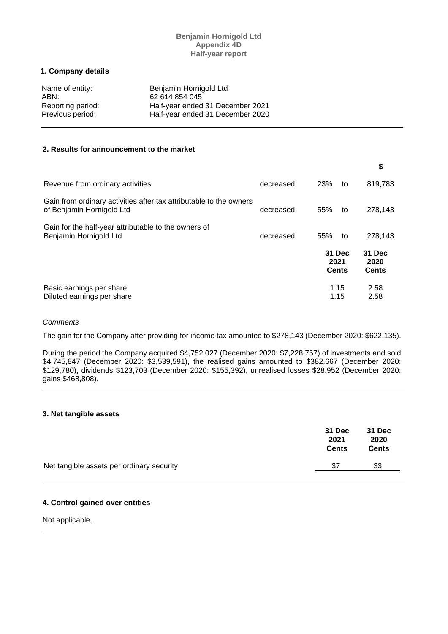# **Benjamin Hornigold Ltd Appendix 4D Half-year report**

## **1. Company details**

| Name of entity:   | Benjamin Hornigold Ltd           |
|-------------------|----------------------------------|
| ABN:              | 62 614 854 045                   |
| Reporting period: | Half-year ended 31 December 2021 |
| Previous period:  | Half-year ended 31 December 2020 |

### **2. Results for announcement to the market**

|                                                                                                 |           |     |                                | \$                             |
|-------------------------------------------------------------------------------------------------|-----------|-----|--------------------------------|--------------------------------|
| Revenue from ordinary activities                                                                | decreased | 23% | to                             | 819,783                        |
| Gain from ordinary activities after tax attributable to the owners<br>of Benjamin Hornigold Ltd | decreased | 55% | to                             | 278,143                        |
| Gain for the half-year attributable to the owners of<br>Benjamin Hornigold Ltd                  | decreased | 55% | to                             | 278.143                        |
|                                                                                                 |           |     | 31 Dec<br>2021<br><b>Cents</b> | 31 Dec<br>2020<br><b>Cents</b> |
| Basic earnings per share<br>Diluted earnings per share                                          |           |     | 1.15<br>1.15                   | 2.58<br>2.58                   |

### *Comments*

The gain for the Company after providing for income tax amounted to \$278,143 (December 2020: \$622,135).

During the period the Company acquired \$4,752,027 (December 2020: \$7,228,767) of investments and sold \$4,745,847 (December 2020: \$3,539,591), the realised gains amounted to \$382,667 (December 2020: \$129,780), dividends \$123,703 (December 2020: \$155,392), unrealised losses \$28,952 (December 2020: gains \$468,808).

### **3. Net tangible assets**

|                                           | 31 Dec<br>2021<br><b>Cents</b> | <b>31 Dec</b><br>2020<br><b>Cents</b> |
|-------------------------------------------|--------------------------------|---------------------------------------|
| Net tangible assets per ordinary security | 37                             | 33                                    |

# **4. Control gained over entities**

Not applicable.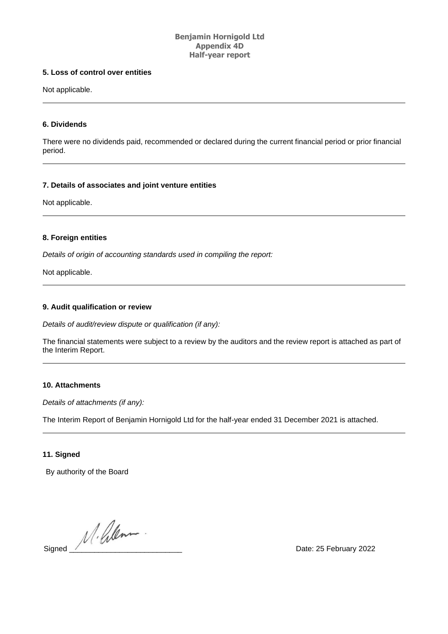# **Benjamin Hornigold Ltd Appendix 4D Half-year report**

# **5. Loss of control over entities**

Not applicable.

# **6. Dividends**

There were no dividends paid, recommended or declared during the current financial period or prior financial period.

## **7. Details of associates and joint venture entities**

Not applicable.

# **8. Foreign entities**

*Details of origin of accounting standards used in compiling the report:*

Not applicable.

## **9. Audit qualification or review**

*Details of audit/review dispute or qualification (if any):*

The financial statements were subject to a review by the auditors and the review report is attached as part of the Interim Report.

## **10. Attachments**

*Details of attachments (if any):*

The Interim Report of Benjamin Hornigold Ltd for the half-year ended 31 December 2021 is attached.

# **11. Signed**

By authority of the Board

 $\frac{1}{\sqrt{1-\frac{1}{n}}}\cdot\frac{1}{\sqrt{1-\frac{1}{n}}}\cdot\frac{1}{\sqrt{1-\frac{1}{n}}}\cdot\frac{1}{\sqrt{1-\frac{1}{n}}}\cdot\frac{1}{\sqrt{1-\frac{1}{n}}}\cdot\frac{1}{\sqrt{1-\frac{1}{n}}}\cdot\frac{1}{\sqrt{1-\frac{1}{n}}}\cdot\frac{1}{\sqrt{1-\frac{1}{n}}}\cdot\frac{1}{\sqrt{1-\frac{1}{n}}}\cdot\frac{1}{\sqrt{1-\frac{1}{n}}}\cdot\frac{1}{\sqrt{1-\frac{1}{n}}}\cdot\frac{1}{\sqrt{1-\frac{1}{n}}}\cdot\frac{1$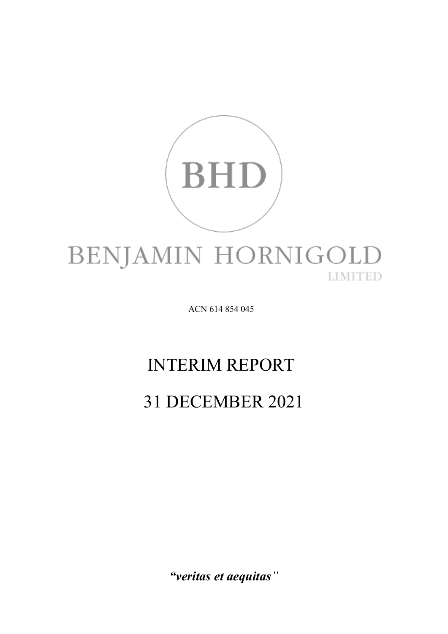

ACN 614 854 045

# INTERIM REPORT

# 31 DECEMBER 2021

*"veritas et aequitas"*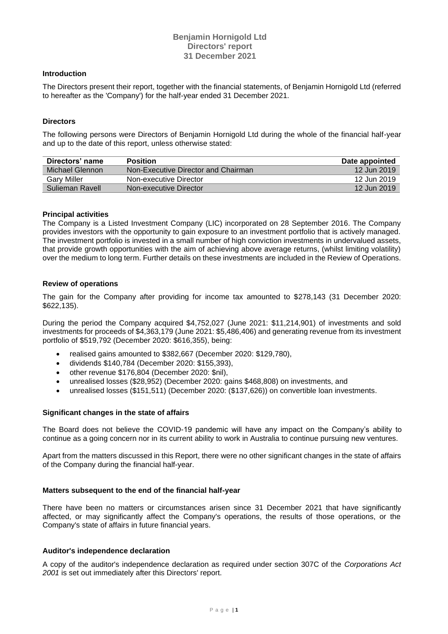# **Benjamin Hornigold Ltd Directors' report 31 December 2021**

#### **Introduction**

The Directors present their report, together with the financial statements, of Benjamin Hornigold Ltd (referred to hereafter as the 'Company') for the half-year ended 31 December 2021.

## **Directors**

The following persons were Directors of Benjamin Hornigold Ltd during the whole of the financial half-year and up to the date of this report, unless otherwise stated:

| Directors' name    | <b>Position</b>                     | Date appointed |
|--------------------|-------------------------------------|----------------|
| Michael Glennon    | Non-Executive Director and Chairman | 12 Jun 2019    |
| <b>Gary Miller</b> | Non-executive Director              | 12 Jun 2019    |
| Sulieman Ravell    | Non-executive Director              | 12 Jun 2019    |

#### **Principal activities**

The Company is a Listed Investment Company (LIC) incorporated on 28 September 2016. The Company provides investors with the opportunity to gain exposure to an investment portfolio that is actively managed. The investment portfolio is invested in a small number of high conviction investments in undervalued assets, that provide growth opportunities with the aim of achieving above average returns, (whilst limiting volatility) over the medium to long term. Further details on these investments are included in the Review of Operations.

## **Review of operations**

The gain for the Company after providing for income tax amounted to \$278,143 (31 December 2020: \$622,135).

During the period the Company acquired \$4,752,027 (June 2021: \$11,214,901) of investments and sold investments for proceeds of \$4,363,179 (June 2021: \$5,486,406) and generating revenue from its investment portfolio of \$519,792 (December 2020: \$616,355), being:

- realised gains amounted to \$382,667 (December 2020: \$129,780),
- dividends \$140,784 (December 2020: \$155,393),
- other revenue \$176,804 (December 2020: \$nil),
- unrealised losses (\$28,952) (December 2020: gains \$468,808) on investments, and
- unrealised losses (\$151,511) (December 2020: (\$137,626)) on convertible loan investments.

### **Significant changes in the state of affairs**

The Board does not believe the COVID-19 pandemic will have any impact on the Company's ability to continue as a going concern nor in its current ability to work in Australia to continue pursuing new ventures.

Apart from the matters discussed in this Report, there were no other significant changes in the state of affairs of the Company during the financial half-year.

### **Matters subsequent to the end of the financial half-year**

There have been no matters or circumstances arisen since 31 December 2021 that have significantly affected, or may significantly affect the Company's operations, the results of those operations, or the Company's state of affairs in future financial years.

#### **Auditor's independence declaration**

A copy of the auditor's independence declaration as required under section 307C of the *Corporations Act 2001* is set out immediately after this Directors' report.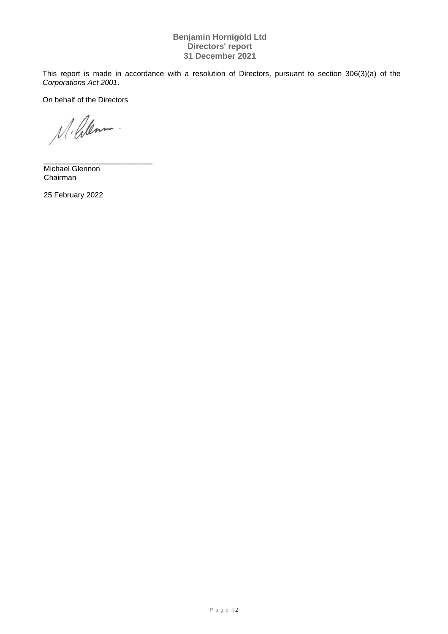# **Benjamin Hornigold Ltd Directors' report 31 December 2021**

This report is made in accordance with a resolution of Directors, pursuant to section 306(3)(a) of the *Corporations Act 2001*.

On behalf of the Directors

M. Glenn

\_\_\_\_\_\_\_\_\_\_\_\_\_\_\_\_\_\_\_\_\_\_\_\_\_\_ Michael Glennon Chairman

25 February 2022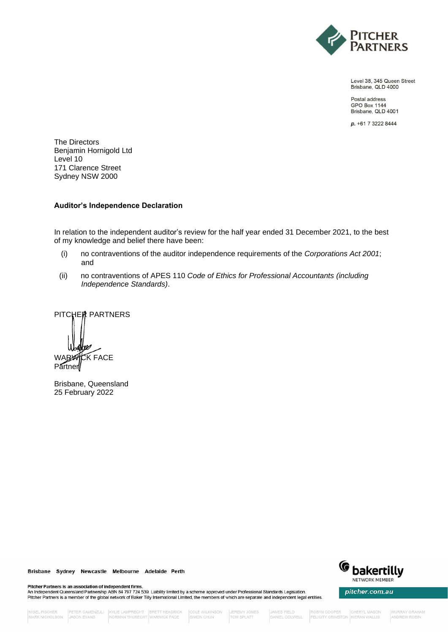

Level 38, 345 Queen Street Brisbane, QLD 4000

Postal address **GPO Box 1144** Brisbane, QLD 4001

p. +61 7 3222 8444

The Directors Benjamin Hornigold Ltd Level 10 171 Clarence Street Sydney NSW 2000

### **Auditor's Independence Declaration**

In relation to the independent auditor's review for the half year ended 31 December 2021, to the best of my knowledge and belief there have been:

- (i) no contraventions of the auditor independence requirements of the *Corporations Act 2001*; and
- (ii) no contraventions of APES 110 *Code of Ethics for Professional Accountants (including Independence Standards)*.

PITCHER PARTNERS WARWICK FACE Partner

Brisbane, Queensland 25 February 2022



pitcher.com.au

Brisbane Sydney Newcastle Melbourne Adelaide Perth

Pitcher Partners is an association of independent firms.<br>An Independent Queensland Partnership ABN 84 797 724 539. Liability limited by a scheme approved under Professional Standards Legislation. Pitcher Partners is a member of the global network of Baker Tilly International Limited, the members of which are separate and independent legal entities.

COLE WILKINSON SIMON CHUN

TOM SPLATT

ROBYN COOPER<br>FELICITY CRIMSTON KIERAN WALLIS **CHERYL MASON**  **IMURRAY GRAHAM** ANDREW ROBIN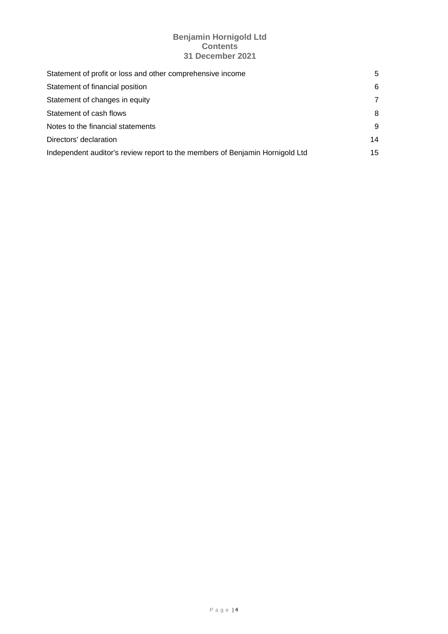# **Benjamin Hornigold Ltd Contents 31 December 2021**

| Statement of profit or loss and other comprehensive income                   | 5  |
|------------------------------------------------------------------------------|----|
| Statement of financial position                                              | 6  |
| Statement of changes in equity                                               | 7  |
| Statement of cash flows                                                      | 8  |
| Notes to the financial statements                                            | 9  |
| Directors' declaration                                                       | 14 |
| Independent auditor's review report to the members of Benjamin Hornigold Ltd | 15 |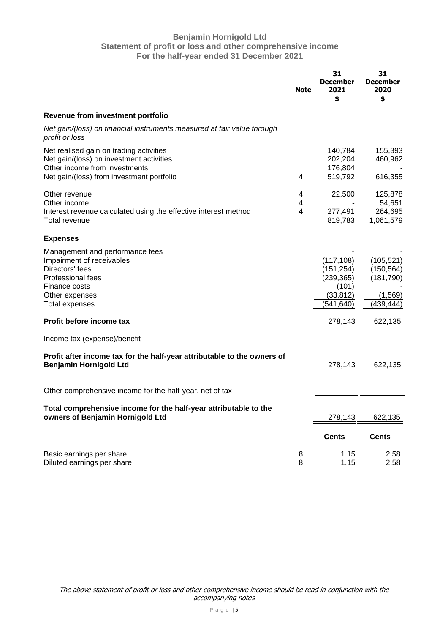# **Benjamin Hornigold Ltd Statement of profit or loss and other comprehensive income For the half-year ended 31 December 2021**

|                                                                                                                                                                  | <b>Note</b>                                             | 31<br><b>December</b><br>2021<br>\$                                        | 31<br><b>December</b><br>2020<br>\$                             |
|------------------------------------------------------------------------------------------------------------------------------------------------------------------|---------------------------------------------------------|----------------------------------------------------------------------------|-----------------------------------------------------------------|
| Revenue from investment portfolio                                                                                                                                |                                                         |                                                                            |                                                                 |
| Net gain/(loss) on financial instruments measured at fair value through<br>profit or loss                                                                        |                                                         |                                                                            |                                                                 |
| Net realised gain on trading activities<br>Net gain/(loss) on investment activities<br>Other income from investments                                             |                                                         | 140,784<br>202,204<br>176,804                                              | 155,393<br>460,962                                              |
| Net gain/(loss) from investment portfolio                                                                                                                        | 4                                                       | 519,792                                                                    | 616,355                                                         |
| Other revenue<br>Other income<br>Interest revenue calculated using the effective interest method                                                                 | 4<br>$\overline{\mathbf{4}}$<br>$\overline{\mathbf{4}}$ | 22,500<br>277,491                                                          | 125,878<br>54,651<br>264,695                                    |
| Total revenue                                                                                                                                                    |                                                         | 819,783                                                                    | 1,061,579                                                       |
| <b>Expenses</b>                                                                                                                                                  |                                                         |                                                                            |                                                                 |
| Management and performance fees<br>Impairment of receivables<br>Directors' fees<br>Professional fees<br>Finance costs<br>Other expenses<br><b>Total expenses</b> |                                                         | (117, 108)<br>(151, 254)<br>(239, 365)<br>(101)<br>(33, 812)<br>(541, 640) | (105, 521)<br>(150, 564)<br>(181, 790)<br>(1,569)<br>(439, 444) |
| Profit before income tax                                                                                                                                         |                                                         | 278,143                                                                    | 622,135                                                         |
| Income tax (expense)/benefit                                                                                                                                     |                                                         |                                                                            |                                                                 |
| Profit after income tax for the half-year attributable to the owners of<br><b>Benjamin Hornigold Ltd</b>                                                         |                                                         | 278,143                                                                    | 622,135                                                         |
| Other comprehensive income for the half-year, net of tax                                                                                                         |                                                         |                                                                            |                                                                 |
| Total comprehensive income for the half-year attributable to the<br>owners of Benjamin Hornigold Ltd                                                             |                                                         | 278,143                                                                    | 622,135                                                         |
|                                                                                                                                                                  |                                                         | <b>Cents</b>                                                               | <b>Cents</b>                                                    |
| Basic earnings per share<br>Diluted earnings per share                                                                                                           | 8<br>8                                                  | 1.15<br>1.15                                                               | 2.58<br>2.58                                                    |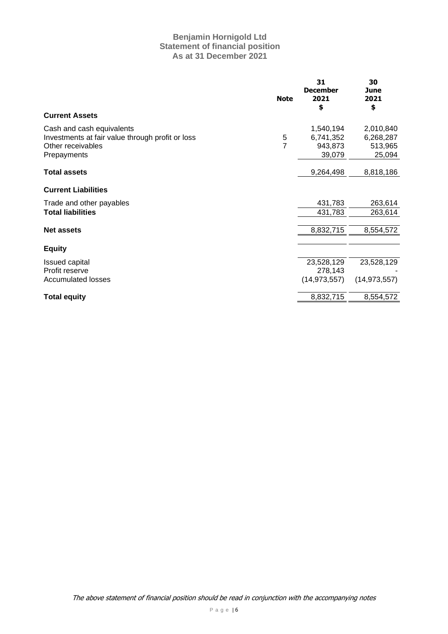# **Benjamin Hornigold Ltd Statement of financial position As at 31 December 2021**

|                                                                                                                   | <b>Note</b>         | 31<br><b>December</b><br>2021<br>\$         | 30<br>June<br>2021<br>\$                    |
|-------------------------------------------------------------------------------------------------------------------|---------------------|---------------------------------------------|---------------------------------------------|
| <b>Current Assets</b>                                                                                             |                     |                                             |                                             |
| Cash and cash equivalents<br>Investments at fair value through profit or loss<br>Other receivables<br>Prepayments | 5<br>$\overline{7}$ | 1,540,194<br>6,741,352<br>943,873<br>39,079 | 2,010,840<br>6,268,287<br>513,965<br>25,094 |
| <b>Total assets</b>                                                                                               |                     | 9,264,498                                   | 8,818,186                                   |
| <b>Current Liabilities</b>                                                                                        |                     |                                             |                                             |
| Trade and other payables                                                                                          |                     | 431,783                                     | 263,614                                     |
| <b>Total liabilities</b>                                                                                          |                     | 431,783                                     | 263,614                                     |
| <b>Net assets</b>                                                                                                 |                     | 8,832,715                                   | 8,554,572                                   |
| <b>Equity</b>                                                                                                     |                     |                                             |                                             |
| <b>Issued capital</b>                                                                                             |                     | 23,528,129                                  | 23,528,129                                  |
| Profit reserve                                                                                                    |                     | 278,143                                     |                                             |
| <b>Accumulated losses</b>                                                                                         |                     | (14, 973, 557)                              | (14, 973, 557)                              |
| <b>Total equity</b>                                                                                               |                     | 8,832,715                                   | 8,554,572                                   |
|                                                                                                                   |                     |                                             |                                             |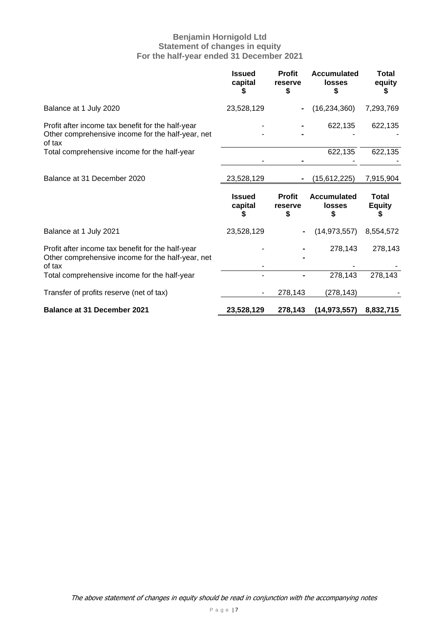# **Benjamin Hornigold Ltd Statement of changes in equity For the half-year ended 31 December 2021**

|                                                                                                                  | <b>Issued</b><br>capital      | <b>Profit</b><br>reserve<br>\$ | <b>Accumulated</b><br><b>losses</b>       | Total<br>equity                    |
|------------------------------------------------------------------------------------------------------------------|-------------------------------|--------------------------------|-------------------------------------------|------------------------------------|
| Balance at 1 July 2020                                                                                           | 23,528,129                    |                                | (16, 234, 360)                            | 7,293,769                          |
| Profit after income tax benefit for the half-year<br>Other comprehensive income for the half-year, net<br>of tax |                               |                                | 622,135                                   | 622,135                            |
| Total comprehensive income for the half-year                                                                     |                               |                                | 622,135                                   | 622,135                            |
| Balance at 31 December 2020                                                                                      | 23,528,129                    |                                | (15,612,225)                              | 7,915,904                          |
|                                                                                                                  |                               |                                |                                           |                                    |
|                                                                                                                  | <b>Issued</b><br>capital<br>S | <b>Profit</b><br>reserve<br>\$ | <b>Accumulated</b><br><b>losses</b><br>\$ | <b>Total</b><br><b>Equity</b><br>S |
| Balance at 1 July 2021                                                                                           | 23,528,129                    |                                | (14, 973, 557)                            | 8,554,572                          |
| Profit after income tax benefit for the half-year<br>Other comprehensive income for the half-year, net           |                               |                                | 278,143                                   | 278,143                            |
| of tax<br>Total comprehensive income for the half-year                                                           |                               |                                | 278,143                                   | 278,143                            |
| Transfer of profits reserve (net of tax)                                                                         |                               | 278,143                        | (278, 143)                                |                                    |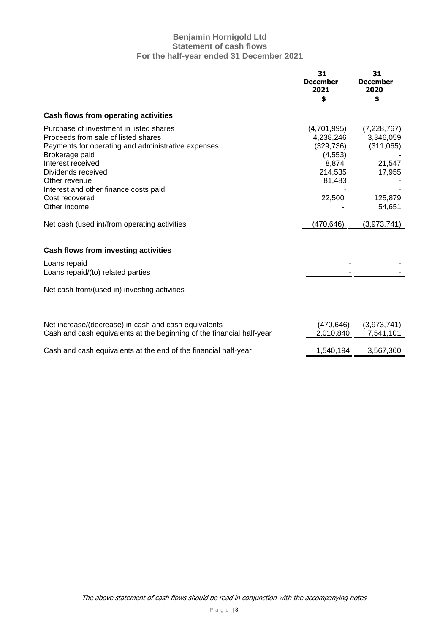# **Benjamin Hornigold Ltd Statement of cash flows For the half-year ended 31 December 2021**

|                                                                                                                                                                                                                                                                                               | 31<br><b>December</b><br>2021<br>\$                                                        | 31<br><b>December</b><br>2020<br>\$                                            |
|-----------------------------------------------------------------------------------------------------------------------------------------------------------------------------------------------------------------------------------------------------------------------------------------------|--------------------------------------------------------------------------------------------|--------------------------------------------------------------------------------|
| Cash flows from operating activities                                                                                                                                                                                                                                                          |                                                                                            |                                                                                |
| Purchase of investment in listed shares<br>Proceeds from sale of listed shares<br>Payments for operating and administrative expenses<br>Brokerage paid<br>Interest received<br>Dividends received<br>Other revenue<br>Interest and other finance costs paid<br>Cost recovered<br>Other income | (4,701,995)<br>4,238,246<br>(329, 736)<br>(4, 553)<br>8,874<br>214,535<br>81,483<br>22,500 | (7,228,767)<br>3,346,059<br>(311,065)<br>21,547<br>17,955<br>125,879<br>54,651 |
| Net cash (used in)/from operating activities                                                                                                                                                                                                                                                  | (470, 646)                                                                                 | (3,973,741)                                                                    |
| <b>Cash flows from investing activities</b><br>Loans repaid<br>Loans repaid/(to) related parties                                                                                                                                                                                              |                                                                                            |                                                                                |
| Net cash from/(used in) investing activities                                                                                                                                                                                                                                                  |                                                                                            |                                                                                |
| Net increase/(decrease) in cash and cash equivalents<br>Cash and cash equivalents at the beginning of the financial half-year                                                                                                                                                                 | (470, 646)<br>2,010,840                                                                    | (3,973,741)<br>7,541,101                                                       |
| Cash and cash equivalents at the end of the financial half-year                                                                                                                                                                                                                               | 1,540,194                                                                                  | 3,567,360                                                                      |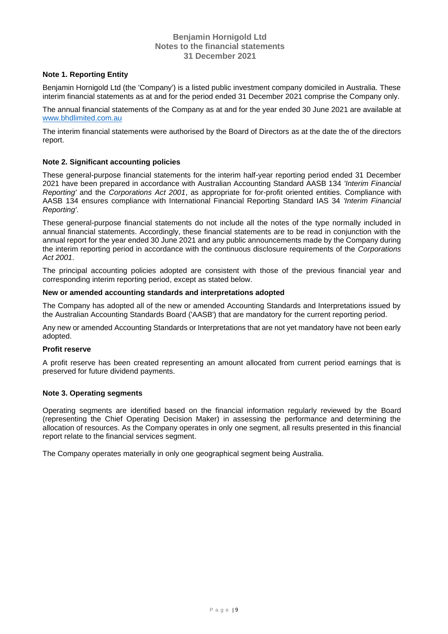# **Note 1. Reporting Entity**

Benjamin Hornigold Ltd (the 'Company') is a listed public investment company domiciled in Australia. These interim financial statements as at and for the period ended 31 December 2021 comprise the Company only.

The annual financial statements of the Company as at and for the year ended 30 June 2021 are available at [www.bhdlimited.com.au](http://www.bhdlimited.com.au/)

The interim financial statements were authorised by the Board of Directors as at the date the of the directors report.

### **Note 2. Significant accounting policies**

These general-purpose financial statements for the interim half-year reporting period ended 31 December 2021 have been prepared in accordance with Australian Accounting Standard AASB 134 *'Interim Financial Reporting'* and the *Corporations Act 2001*, as appropriate for for-profit oriented entities. Compliance with AASB 134 ensures compliance with International Financial Reporting Standard IAS 34 *'Interim Financial Reporting'*.

These general-purpose financial statements do not include all the notes of the type normally included in annual financial statements. Accordingly, these financial statements are to be read in conjunction with the annual report for the year ended 30 June 2021 and any public announcements made by the Company during the interim reporting period in accordance with the continuous disclosure requirements of the *Corporations Act 2001*.

The principal accounting policies adopted are consistent with those of the previous financial year and corresponding interim reporting period, except as stated below.

# **New or amended accounting standards and interpretations adopted**

The Company has adopted all of the new or amended Accounting Standards and Interpretations issued by the Australian Accounting Standards Board ('AASB') that are mandatory for the current reporting period.

Any new or amended Accounting Standards or Interpretations that are not yet mandatory have not been early adopted.

### **Profit reserve**

A profit reserve has been created representing an amount allocated from current period earnings that is preserved for future dividend payments.

### **Note 3. Operating segments**

Operating segments are identified based on the financial information regularly reviewed by the Board (representing the Chief Operating Decision Maker) in assessing the performance and determining the allocation of resources. As the Company operates in only one segment, all results presented in this financial report relate to the financial services segment.

The Company operates materially in only one geographical segment being Australia.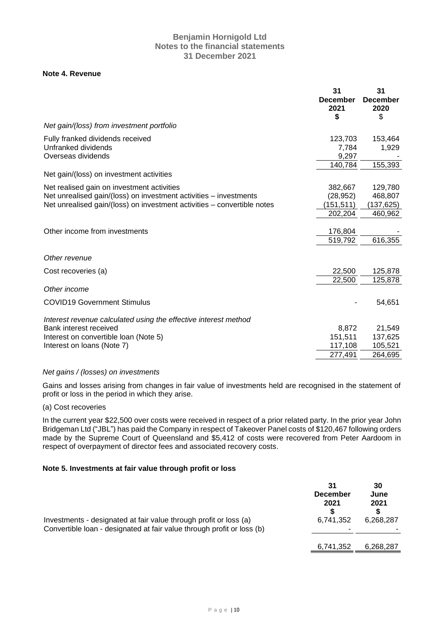# **Note 4. Revenue**

|                                                                                                                                                                                            | 31<br><b>December</b><br>2021<br>\$          | 31<br><b>December</b><br>2020<br>\$        |
|--------------------------------------------------------------------------------------------------------------------------------------------------------------------------------------------|----------------------------------------------|--------------------------------------------|
| Net gain/(loss) from investment portfolio                                                                                                                                                  |                                              |                                            |
| Fully franked dividends received<br>Unfranked dividends<br>Overseas dividends                                                                                                              | 123,703<br>7,784<br>9,297<br>140,784         | 153,464<br>1,929<br>155,393                |
| Net gain/(loss) on investment activities                                                                                                                                                   |                                              |                                            |
| Net realised gain on investment activities<br>Net unrealised gain/(loss) on investment activities - investments<br>Net unrealised gain/(loss) on investment activities – convertible notes | 382,667<br>(28, 952)<br>(151,511)<br>202,204 | 129,780<br>468,807<br>(137,625)<br>460,962 |
| Other income from investments                                                                                                                                                              | 176,804<br>519,792                           | 616,355                                    |
| Other revenue                                                                                                                                                                              |                                              |                                            |
| Cost recoveries (a)                                                                                                                                                                        | 22,500<br>22,500                             | 125,878<br>125,878                         |
| Other income                                                                                                                                                                               |                                              |                                            |
| <b>COVID19 Government Stimulus</b>                                                                                                                                                         |                                              | 54,651                                     |
| Interest revenue calculated using the effective interest method<br>Bank interest received<br>Interest on convertible loan (Note 5)<br>Interest on loans (Note 7)                           | 8,872<br>151,511<br>117,108                  | 21,549<br>137,625<br>105,521               |
|                                                                                                                                                                                            | 277,491                                      | 264,695                                    |

### *Net gains / (losses) on investments*

Gains and losses arising from changes in fair value of investments held are recognised in the statement of profit or loss in the period in which they arise.

(a) Cost recoveries

In the current year \$22,500 over costs were received in respect of a prior related party. In the prior year John Bridgeman Ltd ("JBL") has paid the Company in respect of Takeover Panel costs of \$120,467 following orders made by the Supreme Court of Queensland and \$5,412 of costs were recovered from Peter Aardoom in respect of overpayment of director fees and associated recovery costs.

## **Note 5. Investments at fair value through profit or loss**

|                                                                                                                                             | 31<br><b>December</b><br>2021 | 30<br>June<br>2021 |
|---------------------------------------------------------------------------------------------------------------------------------------------|-------------------------------|--------------------|
| Investments - designated at fair value through profit or loss (a)<br>Convertible loan - designated at fair value through profit or loss (b) | 6,741,352                     | 6,268,287          |
|                                                                                                                                             | 6,741,352                     | 6,268,287          |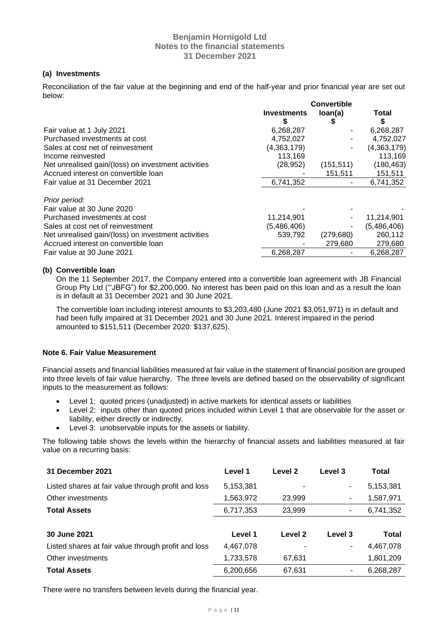# **(a) Investments**

Reconciliation of the fair value at the beginning and end of the half-year and prior financial year are set out below: **Convertible** 

| loan(a)<br>S | Total<br>S<br>6,268,287<br>4,752,027<br>(4,363,179) |
|--------------|-----------------------------------------------------|
|              |                                                     |
|              |                                                     |
|              |                                                     |
|              |                                                     |
|              |                                                     |
|              | 113,169                                             |
|              | (180, 463)                                          |
|              | 151,511                                             |
|              | 6,741,352                                           |
|              |                                                     |
|              |                                                     |
|              | 11,214,901                                          |
|              | (5,486,406)                                         |
|              | 260,112                                             |
|              | 279,680                                             |
|              | 6,268,287                                           |
|              | (151, 511)<br>151,511<br>(279, 680)<br>279,680      |

# **(b) Convertible loan**

On the 11 September 2017, the Company entered into a convertible loan agreement with JB Financial Group Pty Ltd ("'JBFG") for \$2,200,000. No interest has been paid on this loan and as a result the loan is in default at 31 December 2021 and 30 June 2021.

The convertible loan including interest amounts to \$3,203,480 (June 2021 \$3,051,971) is in default and had been fully impaired at 31 December 2021 and 30 June 2021. Interest impaired in the period amounted to \$151,511 (December 2020: \$137,625).

# **Note 6. Fair Value Measurement**

Financial assets and financial liabilities measured at fair value in the statement of financial position are grouped into three levels of fair value hierarchy. The three levels are defined based on the observability of significant inputs to the measurement as follows:

- Level 1: quoted prices (unadjusted) in active markets for identical assets or liabilities
- Level 2: inputs other than quoted prices included within Level 1 that are observable for the asset or liability, either directly or indirectly.
- Level 3: unobservable inputs for the assets or liability.

The following table shows the levels within the hierarchy of financial assets and liabilities measured at fair value on a recurring basis:

| 31 December 2021                                    | Level 1   | Level 2 | Level 3 | Total     |
|-----------------------------------------------------|-----------|---------|---------|-----------|
| Listed shares at fair value through profit and loss | 5,153,381 |         | ۰       | 5,153,381 |
| Other investments                                   | 1,563,972 | 23,999  |         | 1,587,971 |
| <b>Total Assets</b>                                 | 6,717,353 | 23,999  | ۰       | 6,741,352 |
|                                                     |           |         |         |           |
| 30 June 2021                                        | Level 1   | Level 2 | Level 3 | Total     |
| Listed shares at fair value through profit and loss | 4,467,078 |         | ۰       | 4,467,078 |
| Other investments                                   | 1,733,578 | 67,631  |         | 1,801,209 |
| <b>Total Assets</b>                                 | 6,200,656 | 67,631  | ٠       | 6,268,287 |
|                                                     |           |         |         |           |

There were no transfers between levels during the financial year.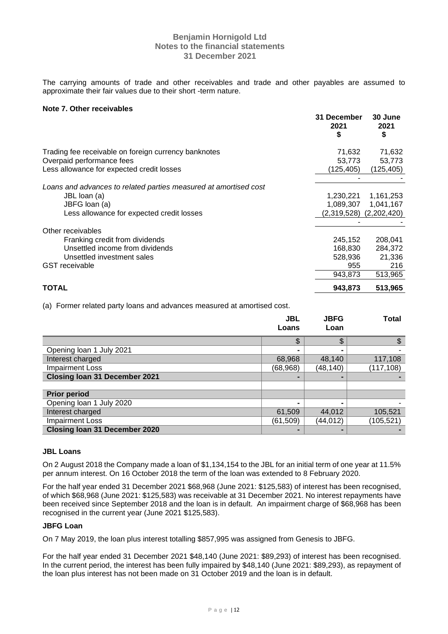The carrying amounts of trade and other receivables and trade and other payables are assumed to approximate their fair values due to their short -term nature.

## **Note 7. Other receivables**

|                                                                  | 31 December<br>2021<br>S | 30 June<br>2021<br>\$       |
|------------------------------------------------------------------|--------------------------|-----------------------------|
| Trading fee receivable on foreign currency banknotes             | 71,632                   | 71,632                      |
| Overpaid performance fees                                        | 53,773                   | 53,773                      |
| Less allowance for expected credit losses                        | (125,405)                | (125, 405)                  |
|                                                                  |                          |                             |
| Loans and advances to related parties measured at amortised cost |                          |                             |
| JBL loan (a)                                                     | 1,230,221                | 1,161,253                   |
| JBFG loan (a)                                                    | 1,089,307                | 1,041,167                   |
| Less allowance for expected credit losses                        |                          | $(2,319,528)$ $(2,202,420)$ |
|                                                                  |                          |                             |
| Other receivables                                                |                          |                             |
| Franking credit from dividends                                   | 245,152                  | 208,041                     |
| Unsettled income from dividends                                  | 168.830                  | 284,372                     |
| Unsettled investment sales                                       | 528,936                  | 21,336                      |
| <b>GST</b> receivable                                            | 955                      | 216                         |
|                                                                  | 943,873                  | 513,965                     |
| <b>TOTAL</b>                                                     | 943,873                  | 513,965                     |

(a) Former related party loans and advances measured at amortised cost.

|                                      | <b>JBL</b><br>Loans | <b>JBFG</b><br>Loan | <b>Total</b> |
|--------------------------------------|---------------------|---------------------|--------------|
|                                      |                     |                     |              |
|                                      | \$                  | \$                  |              |
| Opening loan 1 July 2021             |                     |                     |              |
| Interest charged                     | 68,968              | 48,140              | 117,108      |
| <b>Impairment Loss</b>               | (68, 968)           | (48,140)            | (117, 108)   |
| <b>Closing Ioan 31 December 2021</b> |                     |                     |              |
|                                      |                     |                     |              |
| <b>Prior period</b>                  |                     |                     |              |
| Opening loan 1 July 2020             |                     |                     |              |
| Interest charged                     | 61,509              | 44,012              | 105,521      |
| <b>Impairment Loss</b>               | (61, 509)           | (44, 012)           | (105, 521)   |
| <b>Closing Ioan 31 December 2020</b> |                     |                     |              |

### **JBL Loans**

On 2 August 2018 the Company made a loan of \$1,134,154 to the JBL for an initial term of one year at 11.5% per annum interest. On 16 October 2018 the term of the loan was extended to 8 February 2020.

For the half year ended 31 December 2021 \$68,968 (June 2021: \$125,583) of interest has been recognised, of which \$68,968 (June 2021: \$125,583) was receivable at 31 December 2021. No interest repayments have been received since September 2018 and the loan is in default. An impairment charge of \$68,968 has been recognised in the current year (June 2021 \$125,583).

### **JBFG Loan**

On 7 May 2019, the loan plus interest totalling \$857,995 was assigned from Genesis to JBFG.

For the half year ended 31 December 2021 \$48,140 (June 2021: \$89,293) of interest has been recognised. In the current period, the interest has been fully impaired by \$48,140 (June 2021: \$89,293), as repayment of the loan plus interest has not been made on 31 October 2019 and the loan is in default.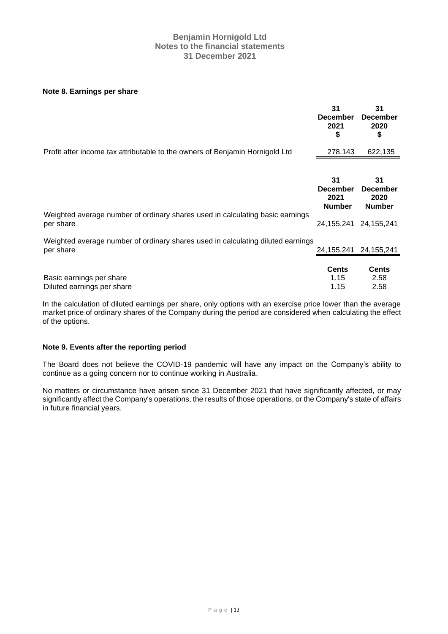### **Note 8. Earnings per share**

|                                                                                              | 31<br><b>December</b><br>2021<br>\$            | 31<br><b>December</b><br>2020<br>\$            |
|----------------------------------------------------------------------------------------------|------------------------------------------------|------------------------------------------------|
| Profit after income tax attributable to the owners of Benjamin Hornigold Ltd                 | 278,143                                        | 622,135                                        |
|                                                                                              |                                                |                                                |
|                                                                                              | 31<br><b>December</b><br>2021<br><b>Number</b> | 31<br><b>December</b><br>2020<br><b>Number</b> |
| Weighted average number of ordinary shares used in calculating basic earnings<br>per share   | 24, 155, 241                                   | 24, 155, 241                                   |
| Weighted average number of ordinary shares used in calculating diluted earnings<br>per share | 24, 155, 241                                   | 24, 155, 241                                   |
| Basic earnings per share<br>Diluted earnings per share                                       | <b>Cents</b><br>1.15<br>1.15                   | <b>Cents</b><br>2.58<br>2.58                   |

In the calculation of diluted earnings per share, only options with an exercise price lower than the average market price of ordinary shares of the Company during the period are considered when calculating the effect of the options.

# **Note 9. Events after the reporting period**

The Board does not believe the COVID-19 pandemic will have any impact on the Company's ability to continue as a going concern nor to continue working in Australia.

No matters or circumstance have arisen since 31 December 2021 that have significantly affected, or may significantly affect the Company's operations, the results of those operations, or the Company's state of affairs in future financial years.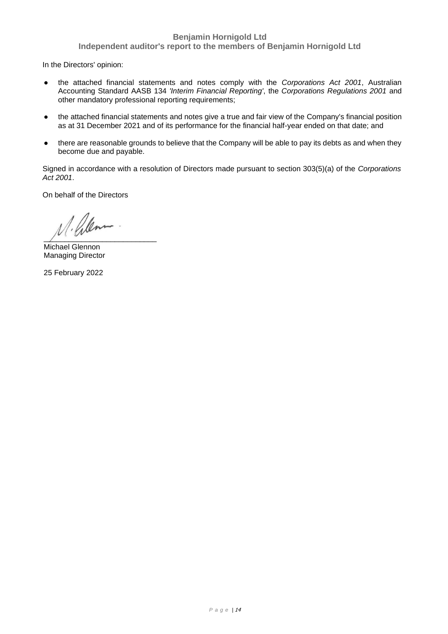# **Benjamin Hornigold Ltd**

**Independent auditor's report to the members of Benjamin Hornigold Ltd**

In the Directors' opinion:

- the attached financial statements and notes comply with the *Corporations Act 2001*, Australian Accounting Standard AASB 134 *'Interim Financial Reporting'*, the *Corporations Regulations 2001* and other mandatory professional reporting requirements;
- the attached financial statements and notes give a true and fair view of the Company's financial position as at 31 December 2021 and of its performance for the financial half-year ended on that date; and
- there are reasonable grounds to believe that the Company will be able to pay its debts as and when they become due and payable.

Signed in accordance with a resolution of Directors made pursuant to section 303(5)(a) of the *Corporations Act 2001*.

On behalf of the Directors

 $\overline{\phantom{a}}$ 

Michael Glennon Managing Director

25 February 2022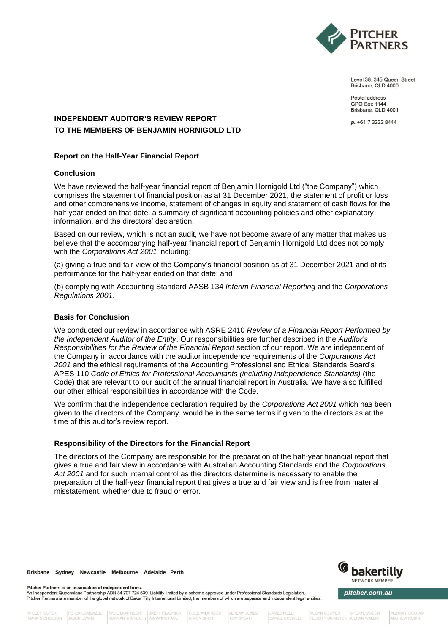

Level 38, 345 Queen Street Brisbane, QLD 4000

Postal address **GPO Box 1144** Brisbane, QLD 4001

p. +61 7 3222 8444

# **INDEPENDENT AUDITOR'S REVIEW REPORT TO THE MEMBERS OF BENJAMIN HORNIGOLD LTD**

# **Report on the Half-Year Financial Report**

### **Conclusion**

We have reviewed the half-year financial report of Benjamin Hornigold Ltd ("the Company") which comprises the statement of financial position as at 31 December 2021, the statement of profit or loss and other comprehensive income, statement of changes in equity and statement of cash flows for the half-year ended on that date, a summary of significant accounting policies and other explanatory information, and the directors' declaration.

Based on our review, which is not an audit, we have not become aware of any matter that makes us believe that the accompanying half-year financial report of Benjamin Hornigold Ltd does not comply with the *Corporations Act 2001* including:

(a) giving a true and fair view of the Company's financial position as at 31 December 2021 and of its performance for the half-year ended on that date; and

(b) complying with Accounting Standard AASB 134 *Interim Financial Reporting* and the *Corporations Regulations 2001*.

## **Basis for Conclusion**

We conducted our review in accordance with ASRE 2410 *Review of a Financial Report Performed by the Independent Auditor of the Entity*. Our responsibilities are further described in the *Auditor's Responsibilities for the Review of the Financial Report* section of our report. We are independent of the Company in accordance with the auditor independence requirements of the *Corporations Act 2001* and the ethical requirements of the Accounting Professional and Ethical Standards Board's APES 110 *Code of Ethics for Professional Accountants (including Independence Standards)* (the Code) that are relevant to our audit of the annual financial report in Australia. We have also fulfilled our other ethical responsibilities in accordance with the Code.

We confirm that the independence declaration required by the *Corporations Act 2001* which has been given to the directors of the Company, would be in the same terms if given to the directors as at the time of this auditor's review report.

### **Responsibility of the Directors for the Financial Report**

The directors of the Company are responsible for the preparation of the half-year financial report that gives a true and fair view in accordance with Australian Accounting Standards and the *Corporations Act 2001* and for such internal control as the directors determine is necessary to enable the preparation of the half-year financial report that gives a true and fair view and is free from material misstatement, whether due to fraud or error.

Brisbane Sydney Newcastle Melbourne Adelaide Perth



An Independent Queensland Partnership ABN 84 797 724 539. Liability limited by a scheme approved under Professional Standards Legislation. Pitcher Partners is a member of the global network of Baker Tilly International Limited, the members of which are separate and independent legal entities.

COLE WILKINSON SIMON CHUN

**JEREMY JONES TOM SPLATT** 

**JAMES FIELD** 

ROBYN COOPER FELICITY CRIMSTON KIERAN WALLIS

CHERYL MASON

bakertilly

NETWORK MEMBER

pitcher.com.au

MURRAY GRAHAM